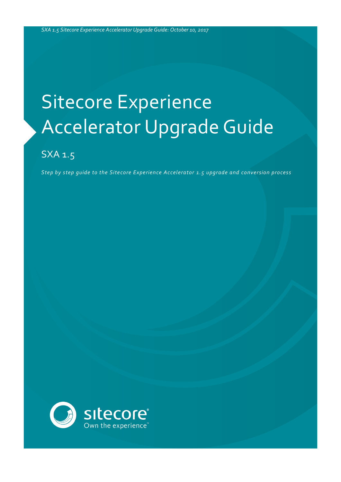# Sitecore Experience Accelerator Upgrade Guide

# SXA 1.5

*Step by step guide to the Sitecore Experience Accelerator 1.5 upgrade and conversion process*

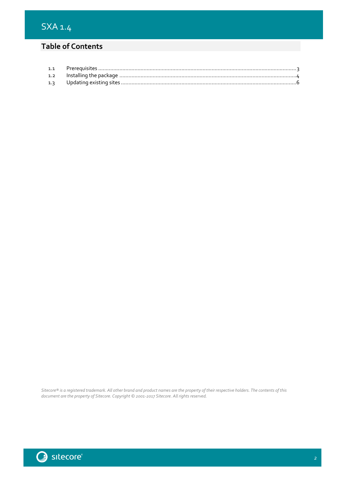## **Table of Contents**

*Sitecore® is a registered trademark. All other brand and product names are the property of their respective holders. The contents of this document are the property of Sitecore. Copyright © 2001-2017 Sitecore. All rights reserved.*

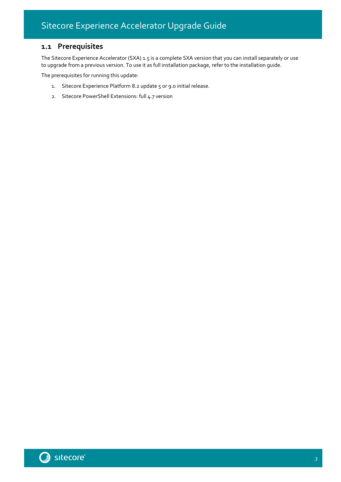## <span id="page-2-0"></span>**1.1 Prerequisites**

The Sitecore Experience Accelerator (SXA) 1.5 is a complete SXA version that you can install separately or use to upgrade from a previous version. To use it as full installation package, refer to the installation guide.

The prerequisites for running this update:

- 1. Sitecore Experience Platform 8.2 update 5 or 9.0 initial release.
- 2. Sitecore PowerShell Extensions: full 4.7 version



3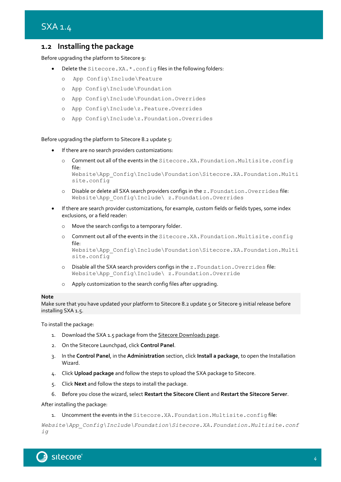### <span id="page-3-0"></span>**1.2 Installing the package**

Before upgrading the platform to Sitecore 9:

- Delete the Sitecore.XA. \*. config files in the following folders:
	- o App Config\Include\Feature
	- o App Config\Include\Foundation
	- o App Config\Include\Foundation.Overrides
	- o App Config\Include\z.Feature.Overrides
	- o App Config\Include\z.Foundation.Overrides

#### Before upgrading the platform to Sitecore 8.2 update 5:

- If there are no search providers customizations:
	- o Comment out all of the events in the Sitecore.XA.Foundation.Multisite.config file:

Website\App\_Config\Include\Foundation\Sitecore.XA.Foundation.Multi site.config

- o Disable or delete all SXA search providers configs in the z.Foundation.Overrides file: Website\App\_Config\Include\ z.Foundation.Overrides
- If there are search provider customizations, for example, custom fields or fields types, some index exclusions, or a field reader:
	- o Move the search configs to a temporary folder.
	- o Comment out all of the events in the Sitecore.XA.Foundation.Multisite.config file: Website\App\_Config\Include\Foundation\Sitecore.XA.Foundation.Multi site.config
	- o Disable all the SXA search providers configs in the z.Foundation.Overrides file: Website\App\_Config\Include\ z.Foundation.Override
	- o Apply customization to the search config files after upgrading.

#### **Note**

Make sure that you have updated your platform to Sitecore 8.2 update 5 or Sitecore 9 initial release before installing SXA 1.5.

To install the package:

- 1. Download the SXA 1.5 package from th[e Sitecore Downloads page.](https://dev.sitecore.net/)
- 2. On the Sitecore Launchpad, click **Control Panel**.
- 3. In the **Control Panel**, in the **Administration** section, click **Install a package**, to open the Installation Wizard.
- 4. Click **Upload package** and follow the steps to upload the SXA package to Sitecore.
- 5. Click **Next** and follow the steps to install the package.
- 6. Before you close the wizard, select **Restart the Sitecore Client** and **Restart the Sitecore Server**.

After installing the package:

1. Uncomment the events in the Sitecore.XA.Foundation.Multisite.config file:

*Website\App\_Config\Include\Foundation\Sitecore.XA.Foundation.Multisite.conf ig*

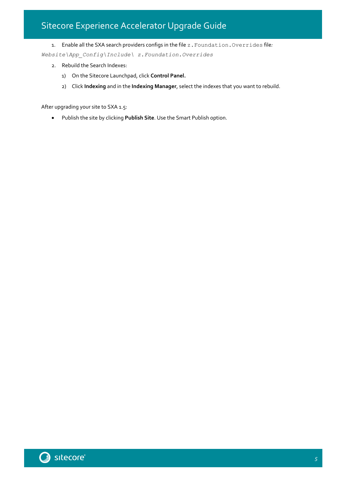# Sitecore Experience Accelerator Upgrade Guide

1. Enable all the SXA search providers configs in the file z.Foundation.Overrides file*:*

*Website\App\_Config\Include\ z.Foundation.Overrides*

- 2. Rebuild the Search Indexes:
	- 1) On the Sitecore Launchpad, click **Control Panel.**
	- 2) Click **Indexing** and in the **Indexing Manager**, select the indexes that you want to rebuild.

After upgrading your site to SXA 1.5:

• Publish the site by clicking **Publish Site**. Use the Smart Publish option.



5